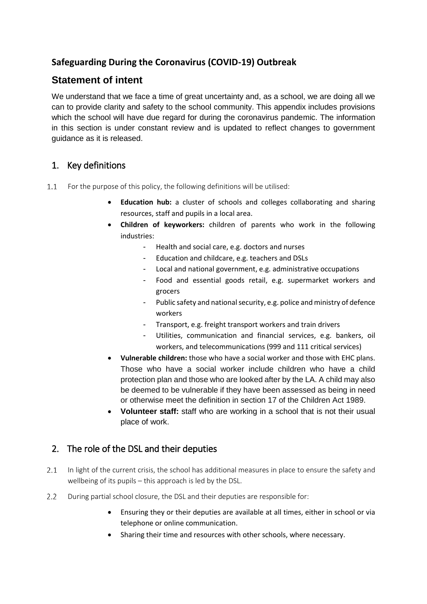# **Safeguarding During the Coronavirus (COVID-19) Outbreak**

# **Statement of intent**

We understand that we face a time of great uncertainty and, as a school, we are doing all we can to provide clarity and safety to the school community. This appendix includes provisions which the school will have due regard for during the coronavirus pandemic. The information in this section is under constant review and is updated to reflect changes to government guidance as it is released.

# 1. Key definitions

- $11$ For the purpose of this policy, the following definitions will be utilised:
	- **Education hub:** a cluster of schools and colleges collaborating and sharing resources, staff and pupils in a local area.
	- **Children of keyworkers:** children of parents who work in the following industries:
		- Health and social care, e.g. doctors and nurses
		- Education and childcare, e.g. teachers and DSLs
		- Local and national government, e.g. administrative occupations
		- Food and essential goods retail, e.g. supermarket workers and grocers
		- Public safety and national security, e.g. police and ministry of defence workers
		- Transport, e.g. freight transport workers and train drivers
		- Utilities, communication and financial services, e.g. bankers, oil workers, and telecommunications (999 and 111 critical services)
	- **Vulnerable children:** those who have a social worker and those with EHC plans. Those who have a social worker include children who have a child protection plan and those who are looked after by the LA. A child may also be deemed to be vulnerable if they have been assessed as being in need or otherwise meet the definition in section 17 of the Children Act 1989.
	- Volunteer staff: staff who are working in a school that is not their usual place of work.

### 2. The role of the DSL and their deputies

- $2.1$ In light of the current crisis, the school has additional measures in place to ensure the safety and wellbeing of its pupils – this approach is led by the DSL.
- $2.2$ During partial school closure, the DSL and their deputies are responsible for:
	- Ensuring they or their deputies are available at all times, either in school or via telephone or online communication.
	- Sharing their time and resources with other schools, where necessary.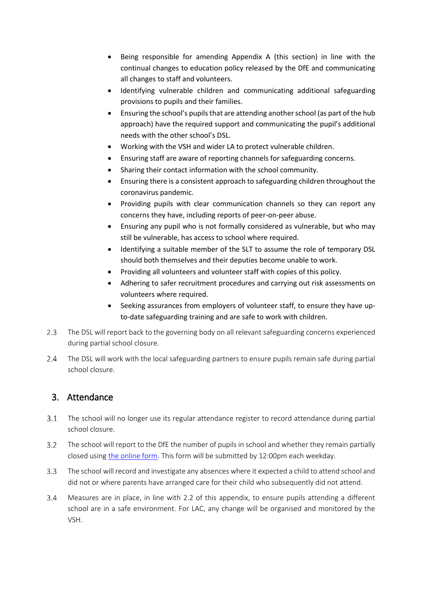- Being responsible for amending Appendix A (this section) in line with the continual changes to education policy released by the DfE and communicating all changes to staff and volunteers.
- Identifying vulnerable children and communicating additional safeguarding provisions to pupils and their families.
- Ensuring the school's pupils that are attending another school (as part of the hub approach) have the required support and communicating the pupil's additional needs with the other school's DSL.
- Working with the VSH and wider LA to protect vulnerable children.
- Ensuring staff are aware of reporting channels for safeguarding concerns.
- Sharing their contact information with the school community.
- Ensuring there is a consistent approach to safeguarding children throughout the coronavirus pandemic.
- Providing pupils with clear communication channels so they can report any concerns they have, including reports of peer-on-peer abuse.
- Ensuring any pupil who is not formally considered as vulnerable, but who may still be vulnerable, has access to school where required.
- Identifying a suitable member of the SLT to assume the role of temporary DSL should both themselves and their deputies become unable to work.
- Providing all volunteers and volunteer staff with copies of this policy.
- Adhering to safer recruitment procedures and carrying out risk assessments on volunteers where required.
- Seeking assurances from employers of volunteer staff, to ensure they have upto-date safeguarding training and are safe to work with children.
- $2.3$ The DSL will report back to the governing body on all relevant safeguarding concerns experienced during partial school closure.
- $2.4$ The DSL will work with the local safeguarding partners to ensure pupils remain safe during partial school closure.

### 3. Attendance

- $3.1$ The school will no longer use its regular attendance register to record attendance during partial school closure.
- $3.2$ The school will report to the DfE the number of pupils in school and whether they remain partially closed using [the online form.](https://form.education.gov.uk/service/educational-setting-status) This form will be submitted by 12:00pm each weekday.
- $3.3<sup>2</sup>$ The school will record and investigate any absences where it expected a child to attend school and did not or where parents have arranged care for their child who subsequently did not attend.
- Measures are in place, in line with 2.2 of this appendix, to ensure pupils attending a different  $3.4$ school are in a safe environment. For LAC, any change will be organised and monitored by the VSH.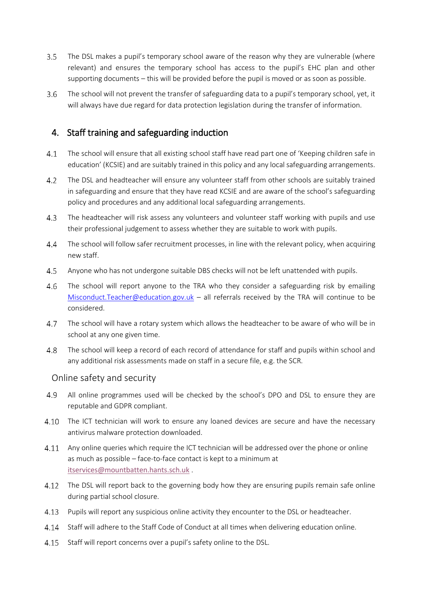- $3.5$ The DSL makes a pupil's temporary school aware of the reason why they are vulnerable (where relevant) and ensures the temporary school has access to the pupil's EHC plan and other supporting documents – this will be provided before the pupil is moved or as soon as possible.
- 3.6 The school will not prevent the transfer of safeguarding data to a pupil's temporary school, yet, it will always have due regard for data protection legislation during the transfer of information.

### 4. Staff training and safeguarding induction

- $4.1$ The school will ensure that all existing school staff have read part one of 'Keeping children safe in education' (KCSIE) and are suitably trained in this policy and any local safeguarding arrangements.
- 4.2 The DSL and headteacher will ensure any volunteer staff from other schools are suitably trained in safeguarding and ensure that they have read KCSIE and are aware of the school's safeguarding policy and procedures and any additional local safeguarding arrangements.
- $4.3$ The headteacher will risk assess any volunteers and volunteer staff working with pupils and use their professional judgement to assess whether they are suitable to work with pupils.
- $4.4$ The school will follow safer recruitment processes, in line with the relevant policy, when acquiring new staff.
- $4.5$ Anyone who has not undergone suitable DBS checks will not be left unattended with pupils.
- $4.6$ The school will report anyone to the TRA who they consider a safeguarding risk by emailing [Misconduct.Teacher@education.gov.uk](mailto:Misconduct.Teacher@education.gov.uk) – all referrals received by the TRA will continue to be considered.
- 4.7 The school will have a rotary system which allows the headteacher to be aware of who will be in school at any one given time.
- 4.8 The school will keep a record of each record of attendance for staff and pupils within school and any additional risk assessments made on staff in a secure file, e.g. the SCR.

#### Online safety and security

- All online programmes used will be checked by the school's DPO and DSL to ensure they are 4.9 reputable and GDPR compliant.
- 4.10 The ICT technician will work to ensure any loaned devices are secure and have the necessary antivirus malware protection downloaded.
- 4.11 Any online queries which require the ICT technician will be addressed over the phone or online as much as possible – face-to-face contact is kept to a minimum at [itservices@mountbatten.hants.sch.uk](mailto:itservices@mountbatten.hants.sch.uk) .
- 4.12 The DSL will report back to the governing body how they are ensuring pupils remain safe online during partial school closure.
- Pupils will report any suspicious online activity they encounter to the DSL or headteacher. 4.13
- 4.14 Staff will adhere to the Staff Code of Conduct at all times when delivering education online.
- Staff will report concerns over a pupil's safety online to the DSL. 4.15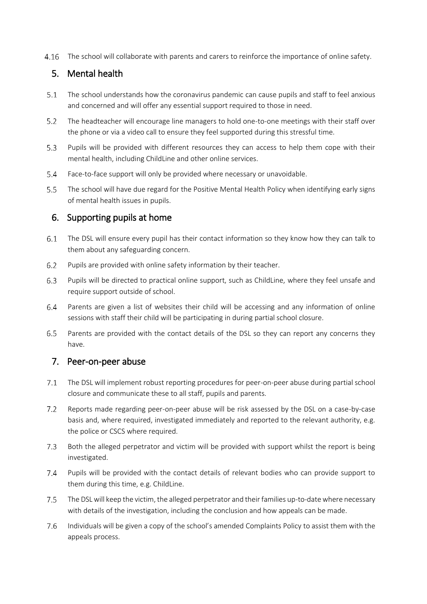The school will collaborate with parents and carers to reinforce the importance of online safety.

# 5. Mental health

- $5.1$ The school understands how the coronavirus pandemic can cause pupils and staff to feel anxious and concerned and will offer any essential support required to those in need.
- $5.2$ The headteacher will encourage line managers to hold one-to-one meetings with their staff over the phone or via a video call to ensure they feel supported during this stressful time.
- $5.3<sup>2</sup>$ Pupils will be provided with different resources they can access to help them cope with their mental health, including ChildLine and other online services.
- $5.4$ Face-to-face support will only be provided where necessary or unavoidable.
- $5.5 -$ The school will have due regard for the Positive Mental Health Policy when identifying early signs of mental health issues in pupils.

### 6. Supporting pupils at home

- $6.1$ The DSL will ensure every pupil has their contact information so they know how they can talk to them about any safeguarding concern.
- $6.2$ Pupils are provided with online safety information by their teacher.
- $6.3$ Pupils will be directed to practical online support, such as ChildLine, where they feel unsafe and require support outside of school.
- $6.4$ Parents are given a list of websites their child will be accessing and any information of online sessions with staff their child will be participating in during partial school closure.
- $6.5$ Parents are provided with the contact details of the DSL so they can report any concerns they have.

### 7. Peer-on-peer abuse

- $7.1$ The DSL will implement robust reporting procedures for peer-on-peer abuse during partial school closure and communicate these to all staff, pupils and parents.
- $7.2$ Reports made regarding peer-on-peer abuse will be risk assessed by the DSL on a case-by-case basis and, where required, investigated immediately and reported to the relevant authority, e.g. the police or CSCS where required.
- $7.3$ Both the alleged perpetrator and victim will be provided with support whilst the report is being investigated.
- $7.4$ Pupils will be provided with the contact details of relevant bodies who can provide support to them during this time, e.g. ChildLine.
- $7.5$ The DSL will keep the victim, the alleged perpetrator and their families up-to-date where necessary with details of the investigation, including the conclusion and how appeals can be made.
- 7.6 Individuals will be given a copy of the school's amended Complaints Policy to assist them with the appeals process.